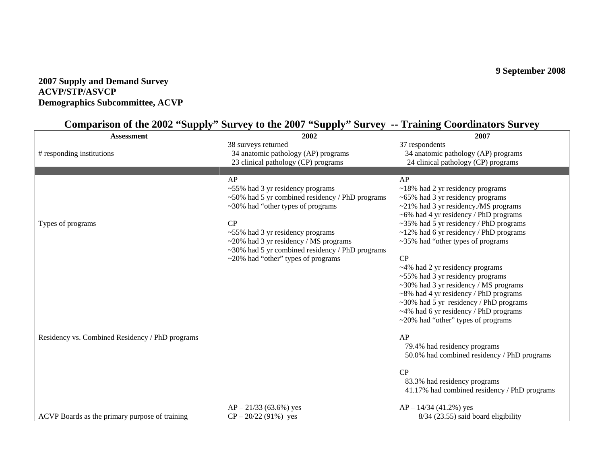# **9 September 2008**

# **2007 Supply and Demand Survey ACVP/STP/ASVCP Demographics Subcommittee, ACVP**

# **Comparison of the 2002 "Supply" Survey to the 2007 "Supply" Survey -- Training Coordinators Survey**

| <b>Assessment</b>                               | 2002                                                  | 2007                                         |
|-------------------------------------------------|-------------------------------------------------------|----------------------------------------------|
|                                                 | 38 surveys returned                                   | 37 respondents                               |
| # responding institutions                       | 34 anatomic pathology (AP) programs                   | 34 anatomic pathology (AP) programs          |
|                                                 | 23 clinical pathology (CP) programs                   | 24 clinical pathology (CP) programs          |
|                                                 |                                                       |                                              |
|                                                 | AP                                                    | AP                                           |
|                                                 | $~55\%$ had 3 yr residency programs                   | $~18\%$ had 2 yr residency programs          |
|                                                 | ~50% had 5 yr combined residency / PhD programs       | $~100$ × 65% had 3 yr residency programs     |
|                                                 | $\sim$ 30% had "other types of programs"              | $\sim$ 21% had 3 yr residency./MS programs   |
|                                                 |                                                       | $\sim$ 6% had 4 yr residency / PhD programs  |
| Types of programs                               | CP                                                    | $\sim$ 35% had 5 yr residency / PhD programs |
|                                                 | ~55% had 3 yr residency programs                      | $\sim$ 12% had 6 yr residency / PhD programs |
|                                                 | $\sim$ 20% had 3 yr residency / MS programs           | $\approx$ 35% had "other types of programs"  |
|                                                 | $\sim$ 30% had 5 yr combined residency / PhD programs |                                              |
|                                                 | $\sim$ 20% had "other" types of programs              | CP                                           |
|                                                 |                                                       | ~4% had 2 yr residency programs              |
|                                                 |                                                       | $~55\%$ had 3 yr residency programs          |
|                                                 |                                                       | ~30% had 3 yr residency / MS programs        |
|                                                 |                                                       | $\sim$ 8% had 4 yr residency / PhD programs  |
|                                                 |                                                       | $\sim$ 30% had 5 yr residency / PhD programs |
|                                                 |                                                       | $\sim$ 4% had 6 yr residency / PhD programs  |
|                                                 |                                                       | $\sim$ 20% had "other" types of programs     |
| Residency vs. Combined Residency / PhD programs |                                                       | AP                                           |
|                                                 |                                                       | 79.4% had residency programs                 |
|                                                 |                                                       | 50.0% had combined residency / PhD programs  |
|                                                 |                                                       |                                              |
|                                                 |                                                       | CP                                           |
|                                                 |                                                       | 83.3% had residency programs                 |
|                                                 |                                                       | 41.17% had combined residency / PhD programs |
|                                                 | $AP - 21/33$ (63.6%) yes                              | $AP - 14/34$ (41.2%) yes                     |
| ACVP Boards as the primary purpose of training  | $CP - 20/22$ (91%) yes                                | 8/34 (23.55) said board eligibility          |
|                                                 |                                                       |                                              |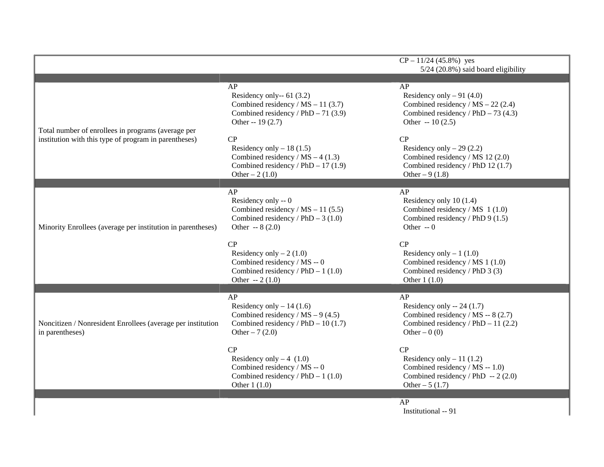|                                                                                                             |                                                                                                                                          | $CP - 11/24$ (45.8%) yes<br>5/24 (20.8%) said board eligibility                                                                      |
|-------------------------------------------------------------------------------------------------------------|------------------------------------------------------------------------------------------------------------------------------------------|--------------------------------------------------------------------------------------------------------------------------------------|
| Total number of enrollees in programs (average per<br>institution with this type of program in parentheses) | AP<br>Residency only-- $61$ (3.2)<br>Combined residency / $MS - 11$ (3.7)<br>Combined residency / $PhD - 71$ (3.9)<br>Other -- $19(2.7)$ | AP<br>Residency only $-91$ (4.0)<br>Combined residency / $MS - 22$ (2.4)<br>Combined residency / PhD $-73$ (4.3)<br>Other $-10(2.5)$ |
|                                                                                                             | CP<br>Residency only $-18(1.5)$<br>Combined residency / $MS - 4$ (1.3)<br>Combined residency / $PhD - 17(1.9)$<br>Other $-2(1.0)$        | CP<br>Residency only $-29(2.2)$<br>Combined residency / MS 12 (2.0)<br>Combined residency / PhD 12 (1.7)<br>Other $-9(1.8)$          |
| Minority Enrollees (average per institution in parentheses)                                                 | AP<br>Residency only -- 0<br>Combined residency / $MS - 11$ (5.5)<br>Combined residency / $PhD - 3(1.0)$<br>Other $-8(2.0)$              | AP<br>Residency only 10 (1.4)<br>Combined residency / MS 1 (1.0)<br>Combined residency / PhD 9 (1.5)<br>Other $-0$                   |
|                                                                                                             | CP<br>Residency only $-2(1.0)$<br>Combined residency / MS -- 0<br>Combined residency / $PhD - 1$ (1.0)<br>Other $-2(1.0)$                | CP<br>Residency only $-1$ (1.0)<br>Combined residency / MS 1 (1.0)<br>Combined residency / PhD 3 (3)<br>Other $1(1.0)$               |
| Noncitizen / Nonresident Enrollees (average per institution<br>in parentheses)                              | AP<br>Residency only $-14(1.6)$<br>Combined residency / $MS - 9$ (4.5)<br>Combined residency / PhD $-10(1.7)$<br>Other $-7(2.0)$         | AP<br>Residency only $-24(1.7)$<br>Combined residency / MS -- 8 (2.7)<br>Combined residency / $PhD - 11$ (2.2)<br>Other $-0(0)$      |
|                                                                                                             | CP<br>Residency only $-4$ (1.0)<br>Combined residency / MS -- 0<br>Combined residency $/$ PhD $-$ 1 (1.0)<br>Other $1(1.0)$              | CP<br>Residency only $-11(1.2)$<br>Combined residency / MS -- 1.0)<br>Combined residency / PhD $-2$ (2.0)<br>Other $-5(1.7)$         |
|                                                                                                             |                                                                                                                                          | AP<br>Institutional -- 91                                                                                                            |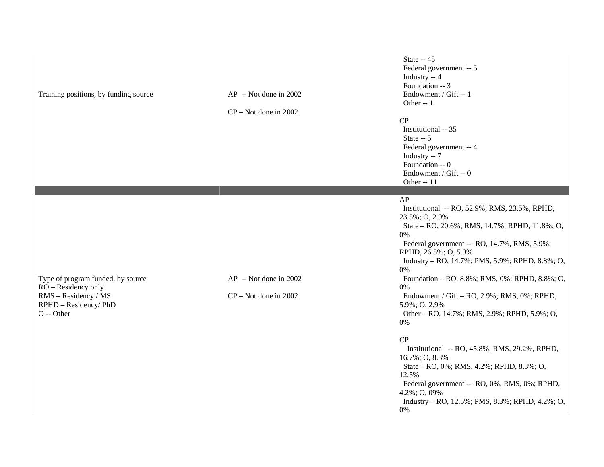| Training positions, by funding source                                                                                   | AP -- Not done in 2002<br>$CP - Not$ done in 2002 | State -- 45<br>Federal government -- 5<br>Industry -- 4<br>Foundation -- 3<br>Endowment / Gift -- 1<br>Other -- 1<br>CP<br>Institutional -- 35<br>State $-5$<br>Federal government -- 4<br>Industry -- 7<br>Foundation -- 0<br>Endowment / Gift -- 0<br>Other -- 11                                                                                                                                                                                                                                                                                                                                                                                                                                 |
|-------------------------------------------------------------------------------------------------------------------------|---------------------------------------------------|-----------------------------------------------------------------------------------------------------------------------------------------------------------------------------------------------------------------------------------------------------------------------------------------------------------------------------------------------------------------------------------------------------------------------------------------------------------------------------------------------------------------------------------------------------------------------------------------------------------------------------------------------------------------------------------------------------|
| Type of program funded, by source<br>RO - Residency only<br>RMS - Residency / MS<br>RPHD - Residency/ PhD<br>O -- Other | AP -- Not done in 2002<br>$CP - Not$ done in 2002 | AP<br>Institutional -- RO, 52.9%; RMS, 23.5%, RPHD,<br>23.5%; O, 2.9%<br>State - RO, 20.6%; RMS, 14.7%; RPHD, 11.8%; O,<br>0%<br>Federal government -- RO, 14.7%, RMS, 5.9%;<br>RPHD, 26.5%; O, 5.9%<br>Industry - RO, 14.7%; PMS, 5.9%; RPHD, 8.8%; O,<br>0%<br>Foundation - RO, 8.8%; RMS, 0%; RPHD, 8.8%; O,<br>0%<br>Endowment / Gift – RO, 2.9%; RMS, 0%; RPHD,<br>5.9%; O, 2.9%<br>Other – RO, 14.7%; RMS, 2.9%; RPHD, 5.9%; O,<br>0%<br>CP<br>Institutional -- RO, 45.8%; RMS, 29.2%, RPHD,<br>16.7%; O, 8.3%<br>State – RO, 0%; RMS, 4.2%; RPHD, 8.3%; O,<br>12.5%<br>Federal government -- RO, 0%, RMS, 0%; RPHD,<br>4.2%; O, 09%<br>Industry - RO, 12.5%; PMS, 8.3%; RPHD, 4.2%; O,<br>0% |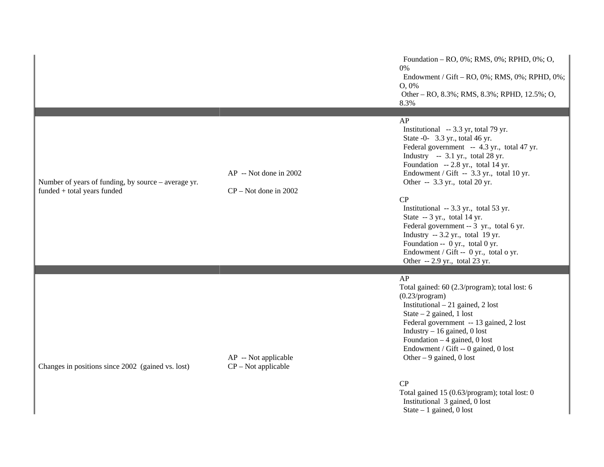Foundation – RO, 0%; RMS, 0%; RPHD, 0%; O, 0% Endowment / Gift – RO, 0%; RMS, 0%; RPHD, 0%; O, 0% Other – RO, 8.3%; RMS, 8.3%; RPHD, 12.5%; O, 8.3%

#### AP

 Institutional -- 3.3 yr, total 79 yr. State -0- 3.3 yr., total 46 yr. Federal government -- 4.3 yr., total 47 yr. Industry  $-3.1$  yr., total 28 yr. Foundation -- 2.8 yr., total 14 yr. Endowment / Gift -- 3.3 yr., total 10 yr. Other -- 3.3 yr., total 20 yr.

#### CP

 Institutional -- 3.3 yr., total 53 yr. State -- 3 yr., total 14 yr. Federal government -- 3 yr., total 6 yr. Industry -- 3.2 yr., total 19 yr. Foundation -- 0 yr., total 0 yr. Endowment / Gift -- 0 yr., total o yr. Other -- 2.9 yr., total 23 yr.

#### AP

Total gained: 60 (2.3/program); total lost: 6 (0.23/program) Institutional – 21 gained, 2 lost State  $-2$  gained, 1 lost Federal government -- 13 gained, 2 lost Industry – 16 gained, 0 lost Foundation  $-4$  gained, 0 lost Endowment / Gift -- 0 gained, 0 lost Other  $-9$  gained, 0 lost

#### CP

Total gained 15 (0.63/program); total lost: 0 Institutional 3 gained, 0 lost State – 1 gained, 0 lost

Number of years of funding, by source – average yr. funded + total years funded

AP -- Not done in 2002

CP – Not done in 2002

Changes in positions since 2002 (gained vs. lost)

AP -- Not applicable CP – Not applicable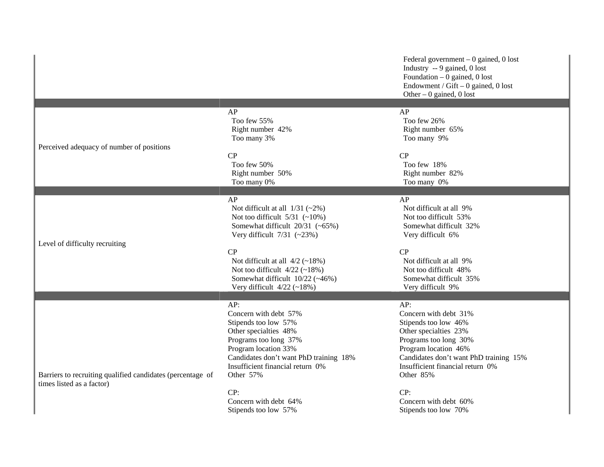Federal government – 0 gained, 0 lost Industry -- 9 gained, 0 lost Foundation – 0 gained, 0 lost Endowment / Gift  $-0$  gained, 0 lost Other – 0 gained, 0 lost

|                                                            |                                               | $\sim$ and $\sim$ $\sim$ $\sim$ $\sim$ $\sim$ $\sim$ $\sim$ |
|------------------------------------------------------------|-----------------------------------------------|-------------------------------------------------------------|
| Perceived adequacy of number of positions                  | AP<br>Too few 55%                             | AP<br>Too few 26%                                           |
|                                                            | Right number 42%<br>Too many 3%               | Right number 65%<br>Too many 9%                             |
|                                                            | CP                                            | CP                                                          |
|                                                            | Too few 50%                                   | Too few 18%                                                 |
|                                                            | Right number 50%                              | Right number 82%<br>Too many 0%                             |
|                                                            | Too many 0%                                   |                                                             |
|                                                            | AP                                            | AP                                                          |
|                                                            | Not difficult at all $1/31$ (~2%)             | Not difficult at all 9%                                     |
|                                                            | Not too difficult $5/31$ (~10%)               | Not too difficult 53%                                       |
|                                                            | Somewhat difficult $20/31$ (~65%)             | Somewhat difficult 32%                                      |
| Level of difficulty recruiting                             | Very difficult $7/31$ (~23%)                  | Very difficult 6%                                           |
|                                                            | CP                                            | CP                                                          |
|                                                            | Not difficult at all $4/2$ (~18%)             | Not difficult at all 9%                                     |
|                                                            | Not too difficult 4/22 (~18%)                 | Not too difficult 48%                                       |
|                                                            | Somewhat difficult 10/22 (~46%)               | Somewhat difficult 35%                                      |
|                                                            | Very difficult $4/22$ (~18%)                  | Very difficult 9%                                           |
|                                                            | AP:                                           | AP:                                                         |
|                                                            | Concern with debt 57%                         | Concern with debt 31%                                       |
|                                                            | Stipends too low 57%                          | Stipends too low 46%                                        |
|                                                            | Other specialties 48%                         | Other specialties 23%                                       |
|                                                            | Programs too long 37%                         | Programs too long 30%                                       |
|                                                            | Program location 33%                          | Program location 46%                                        |
|                                                            | Candidates don't want PhD training 18%        | Candidates don't want PhD training 15%                      |
| Barriers to recruiting qualified candidates (percentage of | Insufficient financial return 0%<br>Other 57% | Insufficient financial return 0%<br>Other 85%               |
| times listed as a factor)                                  |                                               |                                                             |
|                                                            | CP:                                           | CP:                                                         |
|                                                            | Concern with debt 64%                         | Concern with debt 60%                                       |
|                                                            | Stipends too low 57%                          | Stipends too low 70%                                        |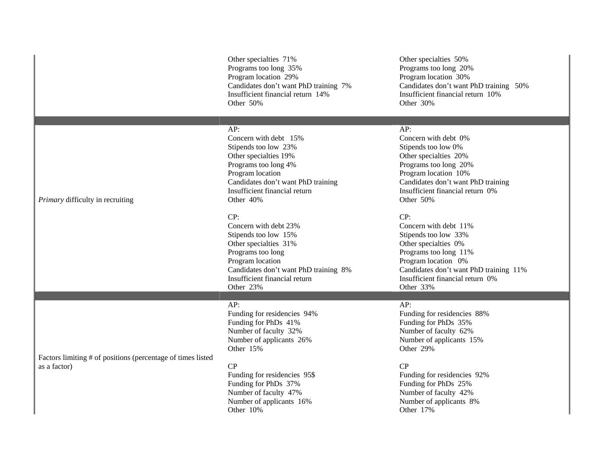Other specialties 71% Programs too long 35% Program location 29% Candidates don't want PhD training 7% Insufficient financial return 14% Other 50%

## AP:

Concern with debt 15% Stipends too low 23% Other specialties 19% Programs too long 4% Program location Candidates don't want PhD training Insufficient financial return Other 40%

#### CP:

Concern with debt 23% Stipends too low 15% Other specialties 31% Programs too long Program location Candidates don't want PhD training 8% Insufficient financial return Other 23%

## AP:

Funding for residencies 94% Funding for PhDs 41% Number of faculty 32% Number of applicants 26% Other 15%

Factors limiting # of positions (percentage of times listed as a factor)

*Primary* difficulty in recruiting

## CP

Funding for residencies 95\$ Funding for PhDs 37% Number of faculty 47% Number of applicants 16% Other 10%

Other specialties 50% Programs too long 20% Program location 30% Candidates don't want PhD training 50% Insufficient financial return 10% Other 30%

#### $AP:$

Concern with debt 0% Stipends too low 0% Other specialties 20% Programs too long 20% Program location 10% Candidates don't want PhD training Insufficient financial return 0% Other 50%

# CP:

Concern with debt 11% Stipends too low 33% Other specialties 0% Programs too long 11% Program location 0% Candidates don't want PhD training 11% Insufficient financial return 0% Other 33%

# AP:

Funding for residencies 88% Funding for PhDs 35% Number of faculty 62% Number of applicants 15% Other 29%

# CP

Funding for residencies 92% Funding for PhDs 25% Number of faculty 42% Number of applicants 8% Other 17%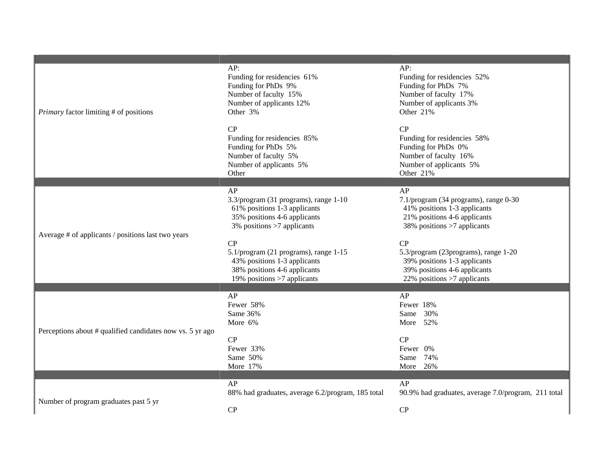| <i>Primary</i> factor limiting # of positions             | AP:<br>Funding for residencies 61%<br>Funding for PhDs 9%<br>Number of faculty 15%<br>Number of applicants 12%<br>Other 3%                   | AP:<br>Funding for residencies 52%<br>Funding for PhDs 7%<br>Number of faculty 17%<br>Number of applicants 3%<br>Other 21%                 |
|-----------------------------------------------------------|----------------------------------------------------------------------------------------------------------------------------------------------|--------------------------------------------------------------------------------------------------------------------------------------------|
|                                                           | CP<br>Funding for residencies 85%<br>Funding for PhDs 5%<br>Number of faculty 5%<br>Number of applicants 5%<br>Other                         | CP<br>Funding for residencies 58%<br>Funding for PhDs 0%<br>Number of faculty 16%<br>Number of applicants 5%<br>Other 21%                  |
| Average # of applicants / positions last two years        | AP<br>3.3/program (31 programs), range 1-10<br>61% positions 1-3 applicants<br>35% positions 4-6 applicants<br>3% positions >7 applicants    | AP<br>7.1/program (34 programs), range 0-30<br>41% positions 1-3 applicants<br>21% positions 4-6 applicants<br>38% positions >7 applicants |
|                                                           | CP<br>5.1/program (21 programs), range 1-15<br>43% positions 1-3 applicants<br>38% positions 4-6 applicants<br>19% positions $>7$ applicants | CP<br>5.3/program (23programs), range 1-20<br>39% positions 1-3 applicants<br>39% positions 4-6 applicants<br>22% positions >7 applicants  |
| Perceptions about # qualified candidates now vs. 5 yr ago | AP<br>Fewer 58%<br>Same 36%<br>More 6%                                                                                                       | AP<br>Fewer 18%<br>Same 30%<br>More 52%                                                                                                    |
|                                                           | CP<br>Fewer 33%<br>Same 50%<br>More 17%                                                                                                      | CP<br>Fewer 0%<br>74%<br>Same<br>More 26%                                                                                                  |
| Number of program graduates past 5 yr                     | AP<br>88% had graduates, average 6.2/program, 185 total                                                                                      | AP<br>90.9% had graduates, average 7.0/program, 211 total                                                                                  |
|                                                           | CP                                                                                                                                           | CP                                                                                                                                         |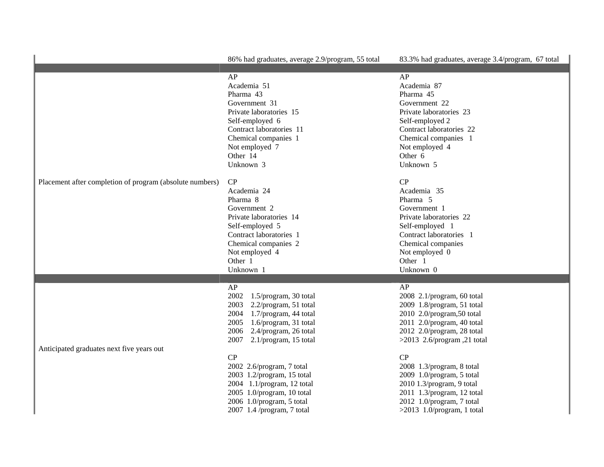|                                                          | 86% had graduates, average 2.9/program, 55 total                                                                                                                                                                                                                                                                                                                                                    | 83.3% had graduates, average 3.4/program, 67 total                                                                                                                                                                                                                                                                                                                             |
|----------------------------------------------------------|-----------------------------------------------------------------------------------------------------------------------------------------------------------------------------------------------------------------------------------------------------------------------------------------------------------------------------------------------------------------------------------------------------|--------------------------------------------------------------------------------------------------------------------------------------------------------------------------------------------------------------------------------------------------------------------------------------------------------------------------------------------------------------------------------|
| Placement after completion of program (absolute numbers) | AP<br>Academia 51<br>Pharma 43<br>Government 31<br>Private laboratories 15<br>Self-employed 6<br>Contract laboratories 11<br>Chemical companies 1<br>Not employed 7<br>Other 14<br>Unknown 3                                                                                                                                                                                                        | AP<br>Academia 87<br>Pharma 45<br>Government 22<br>Private laboratories 23<br>Self-employed 2<br>Contract laboratories 22<br>Chemical companies 1<br>Not employed 4<br>Other 6<br>Unknown 5                                                                                                                                                                                    |
|                                                          | CP<br>Academia 24<br>Pharma 8<br>Government 2<br>Private laboratories 14<br>Self-employed 5<br>Contract laboratories 1<br>Chemical companies 2<br>Not employed 4<br>Other 1<br>Unknown 1                                                                                                                                                                                                            | CP<br>Academia 35<br>Pharma <sub>5</sub><br>Government 1<br>Private laboratories 22<br>Self-employed 1<br>Contract laboratories 1<br>Chemical companies<br>Not employed 0<br>Other 1<br>Unknown 0                                                                                                                                                                              |
| Anticipated graduates next five years out                | AP<br>2002<br>1.5/program, 30 total<br>2003<br>2.2/program, 51 total<br>2004<br>1.7/program, 44 total<br>2005<br>1.6/program, 31 total<br>2006<br>2.4/program, 26 total<br>2007<br>$2.1$ /program, 15 total<br>CP<br>2002 2.6/program, 7 total<br>2003 1.2/program, 15 total<br>2004 1.1/program, 12 total<br>2005 1.0/program, 10 total<br>2006 1.0/program, 5 total<br>2007 1.4 /program, 7 total | AP<br>2008 2.1/program, 60 total<br>2009 1.8/program, 51 total<br>2010 2.0/program,50 total<br>2011 2.0/program, 40 total<br>2012 2.0/program, 28 total<br>>2013 2.6/program, 21 total<br>CP<br>2008 1.3/program, 8 total<br>2009 1.0/program, 5 total<br>2010 1.3/program, 9 total<br>2011 1.3/program, 12 total<br>2012 1.0/program, 7 total<br>$>2013$ 1.0/program, 1 total |